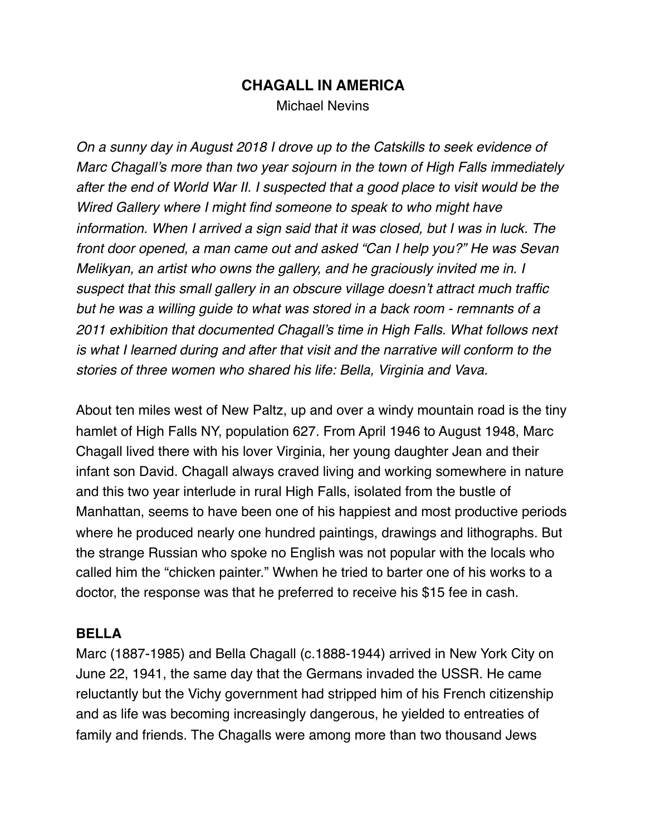# **CHAGALL IN AMERICA** Michael Nevins

*On a sunny day in August 2018 I drove up to the Catskills to seek evidence of Marc Chagall's more than two year sojourn in the town of High Falls immediately after the end of World War II. I suspected that a good place to visit would be the Wired Gallery where I might find someone to speak to who might have information. When I arrived a sign said that it was closed, but I was in luck. The front door opened, a man came out and asked "Can I help you?" He was Sevan Melikyan, an artist who owns the gallery, and he graciously invited me in. I suspect that this small gallery in an obscure village doesn't attract much traffic but he was a willing guide to what was stored in a back room - remnants of a 2011 exhibition that documented Chagall's time in High Falls. What follows next is what I learned during and after that visit and the narrative will conform to the stories of three women who shared his life: Bella, Virginia and Vava.*

About ten miles west of New Paltz, up and over a windy mountain road is the tiny hamlet of High Falls NY, population 627. From April 1946 to August 1948, Marc Chagall lived there with his lover Virginia, her young daughter Jean and their infant son David. Chagall always craved living and working somewhere in nature and this two year interlude in rural High Falls, isolated from the bustle of Manhattan, seems to have been one of his happiest and most productive periods where he produced nearly one hundred paintings, drawings and lithographs. But the strange Russian who spoke no English was not popular with the locals who called him the "chicken painter." Wwhen he tried to barter one of his works to a doctor, the response was that he preferred to receive his \$15 fee in cash.

### **BELLA**

Marc (1887-1985) and Bella Chagall (c.1888-1944) arrived in New York City on June 22, 1941, the same day that the Germans invaded the USSR. He came reluctantly but the Vichy government had stripped him of his French citizenship and as life was becoming increasingly dangerous, he yielded to entreaties of family and friends. The Chagalls were among more than two thousand Jews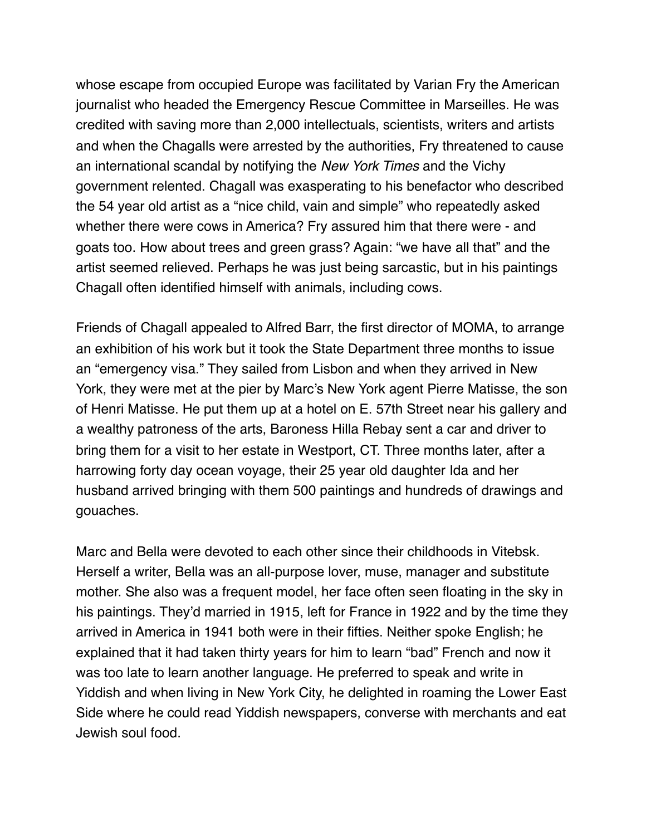whose escape from occupied Europe was facilitated by Varian Fry the American journalist who headed the Emergency Rescue Committee in Marseilles. He was credited with saving more than 2,000 intellectuals, scientists, writers and artists and when the Chagalls were arrested by the authorities, Fry threatened to cause an international scandal by notifying the *New York Times* and the Vichy government relented. Chagall was exasperating to his benefactor who described the 54 year old artist as a "nice child, vain and simple" who repeatedly asked whether there were cows in America? Fry assured him that there were - and goats too. How about trees and green grass? Again: "we have all that" and the artist seemed relieved. Perhaps he was just being sarcastic, but in his paintings Chagall often identified himself with animals, including cows.

Friends of Chagall appealed to Alfred Barr, the first director of MOMA, to arrange an exhibition of his work but it took the State Department three months to issue an "emergency visa." They sailed from Lisbon and when they arrived in New York, they were met at the pier by Marc's New York agent Pierre Matisse, the son of Henri Matisse. He put them up at a hotel on E. 57th Street near his gallery and a wealthy patroness of the arts, Baroness Hilla Rebay sent a car and driver to bring them for a visit to her estate in Westport, CT. Three months later, after a harrowing forty day ocean voyage, their 25 year old daughter Ida and her husband arrived bringing with them 500 paintings and hundreds of drawings and gouaches.

Marc and Bella were devoted to each other since their childhoods in Vitebsk. Herself a writer, Bella was an all-purpose lover, muse, manager and substitute mother. She also was a frequent model, her face often seen floating in the sky in his paintings. They'd married in 1915, left for France in 1922 and by the time they arrived in America in 1941 both were in their fifties. Neither spoke English; he explained that it had taken thirty years for him to learn "bad" French and now it was too late to learn another language. He preferred to speak and write in Yiddish and when living in New York City, he delighted in roaming the Lower East Side where he could read Yiddish newspapers, converse with merchants and eat Jewish soul food.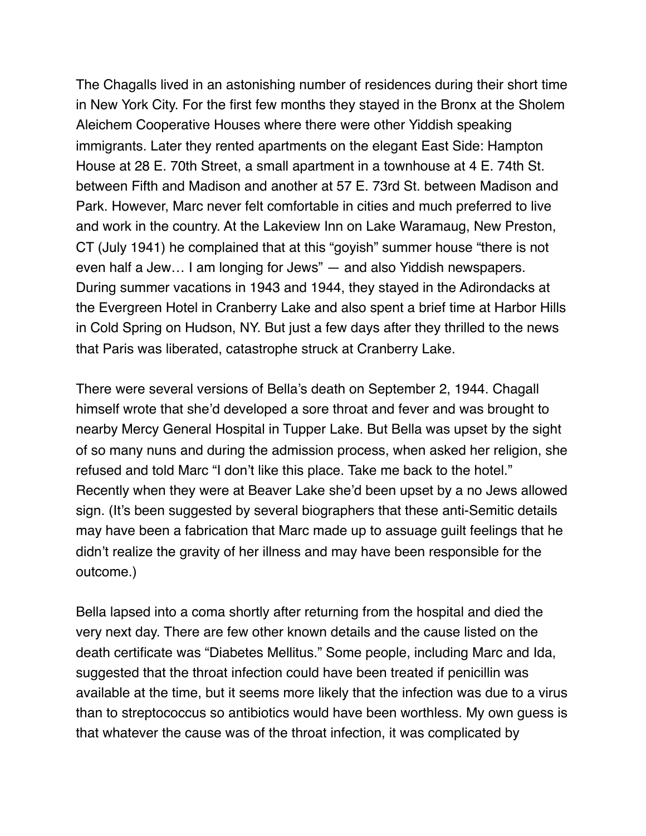The Chagalls lived in an astonishing number of residences during their short time in New York City. For the first few months they stayed in the Bronx at the Sholem Aleichem Cooperative Houses where there were other Yiddish speaking immigrants. Later they rented apartments on the elegant East Side: Hampton House at 28 E. 70th Street, a small apartment in a townhouse at 4 E. 74th St. between Fifth and Madison and another at 57 E. 73rd St. between Madison and Park. However, Marc never felt comfortable in cities and much preferred to live and work in the country. At the Lakeview Inn on Lake Waramaug, New Preston, CT (July 1941) he complained that at this "goyish" summer house "there is not even half a Jew… I am longing for Jews" — and also Yiddish newspapers. During summer vacations in 1943 and 1944, they stayed in the Adirondacks at the Evergreen Hotel in Cranberry Lake and also spent a brief time at Harbor Hills in Cold Spring on Hudson, NY. But just a few days after they thrilled to the news that Paris was liberated, catastrophe struck at Cranberry Lake.

There were several versions of Bella's death on September 2, 1944. Chagall himself wrote that she'd developed a sore throat and fever and was brought to nearby Mercy General Hospital in Tupper Lake. But Bella was upset by the sight of so many nuns and during the admission process, when asked her religion, she refused and told Marc "I don't like this place. Take me back to the hotel." Recently when they were at Beaver Lake she'd been upset by a no Jews allowed sign. (It's been suggested by several biographers that these anti-Semitic details may have been a fabrication that Marc made up to assuage guilt feelings that he didn't realize the gravity of her illness and may have been responsible for the outcome.)

Bella lapsed into a coma shortly after returning from the hospital and died the very next day. There are few other known details and the cause listed on the death certificate was "Diabetes Mellitus." Some people, including Marc and Ida, suggested that the throat infection could have been treated if penicillin was available at the time, but it seems more likely that the infection was due to a virus than to streptococcus so antibiotics would have been worthless. My own guess is that whatever the cause was of the throat infection, it was complicated by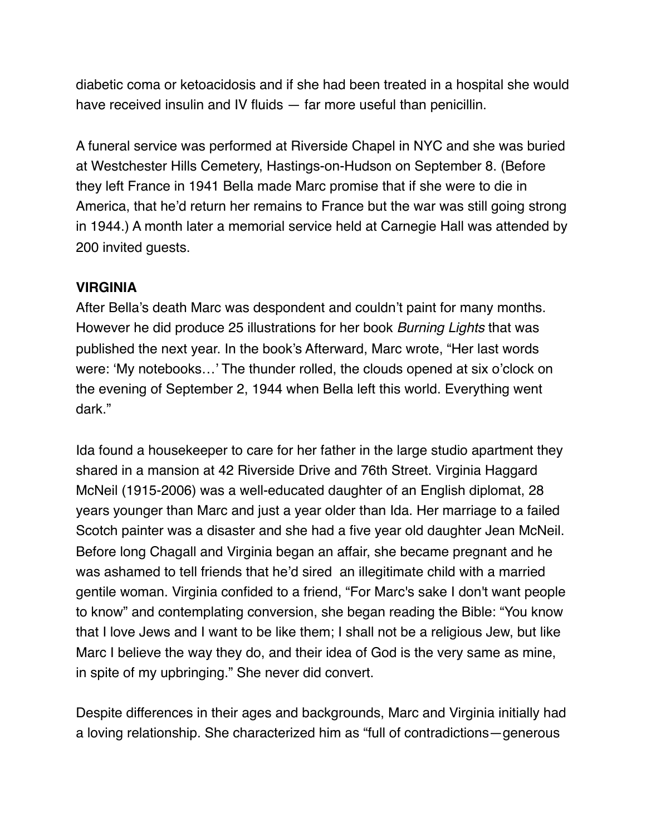diabetic coma or ketoacidosis and if she had been treated in a hospital she would have received insulin and IV fluids — far more useful than penicillin.

A funeral service was performed at Riverside Chapel in NYC and she was buried at Westchester Hills Cemetery, Hastings-on-Hudson on September 8. (Before they left France in 1941 Bella made Marc promise that if she were to die in America, that he'd return her remains to France but the war was still going strong in 1944.) A month later a memorial service held at Carnegie Hall was attended by 200 invited guests.

### **VIRGINIA**

After Bella's death Marc was despondent and couldn't paint for many months. However he did produce 25 illustrations for her book *Burning Lights* that was published the next year. In the book's Afterward, Marc wrote, "Her last words were: 'My notebooks…' The thunder rolled, the clouds opened at six o'clock on the evening of September 2, 1944 when Bella left this world. Everything went dark."

Ida found a housekeeper to care for her father in the large studio apartment they shared in a mansion at 42 Riverside Drive and 76th Street. Virginia Haggard McNeil (1915-2006) was a well-educated daughter of an English diplomat, 28 years younger than Marc and just a year older than Ida. Her marriage to a failed Scotch painter was a disaster and she had a five year old daughter Jean McNeil. Before long Chagall and Virginia began an affair, she became pregnant and he was ashamed to tell friends that he'd sired an illegitimate child with a married gentile woman. Virginia confided to a friend, "For Marc's sake I don't want people to know" and contemplating conversion, she began reading the Bible: "You know that I love Jews and I want to be like them; I shall not be a religious Jew, but like Marc I believe the way they do, and their idea of God is the very same as mine, in spite of my upbringing." She never did convert.

Despite differences in their ages and backgrounds, Marc and Virginia initially had a loving relationship. She characterized him as "full of contradictions—generous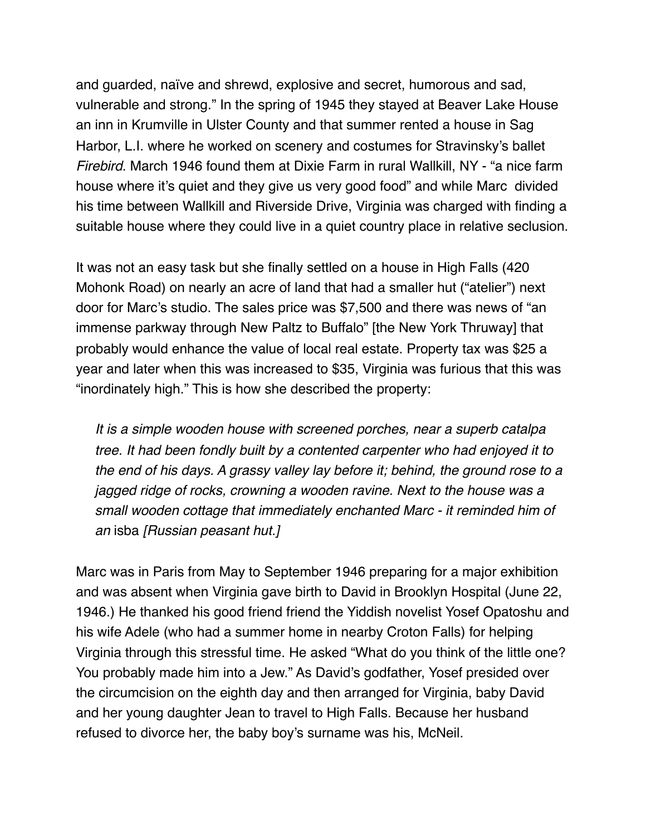and guarded, naïve and shrewd, explosive and secret, humorous and sad, vulnerable and strong." In the spring of 1945 they stayed at Beaver Lake House an inn in Krumville in Ulster County and that summer rented a house in Sag Harbor, L.I. where he worked on scenery and costumes for Stravinsky's ballet *Firebird*. March 1946 found them at Dixie Farm in rural Wallkill, NY - "a nice farm house where it's quiet and they give us very good food" and while Marc divided his time between Wallkill and Riverside Drive, Virginia was charged with finding a suitable house where they could live in a quiet country place in relative seclusion.

It was not an easy task but she finally settled on a house in High Falls (420 Mohonk Road) on nearly an acre of land that had a smaller hut ("atelier") next door for Marc's studio. The sales price was \$7,500 and there was news of "an immense parkway through New Paltz to Buffalo" [the New York Thruway] that probably would enhance the value of local real estate. Property tax was \$25 a year and later when this was increased to \$35, Virginia was furious that this was "inordinately high." This is how she described the property:

 *It is a simple wooden house with screened porches, near a superb catalpa tree. It had been fondly built by a contented carpenter who had enjoyed it to the end of his days. A grassy valley lay before it; behind, the ground rose to a jagged ridge of rocks, crowning a wooden ravine. Next to the house was a small wooden cottage that immediately enchanted Marc - it reminded him of an* isba *[Russian peasant hut.]*

Marc was in Paris from May to September 1946 preparing for a major exhibition and was absent when Virginia gave birth to David in Brooklyn Hospital (June 22, 1946.) He thanked his good friend friend the Yiddish novelist Yosef Opatoshu and his wife Adele (who had a summer home in nearby Croton Falls) for helping Virginia through this stressful time. He asked "What do you think of the little one? You probably made him into a Jew." As David's godfather, Yosef presided over the circumcision on the eighth day and then arranged for Virginia, baby David and her young daughter Jean to travel to High Falls. Because her husband refused to divorce her, the baby boy's surname was his, McNeil.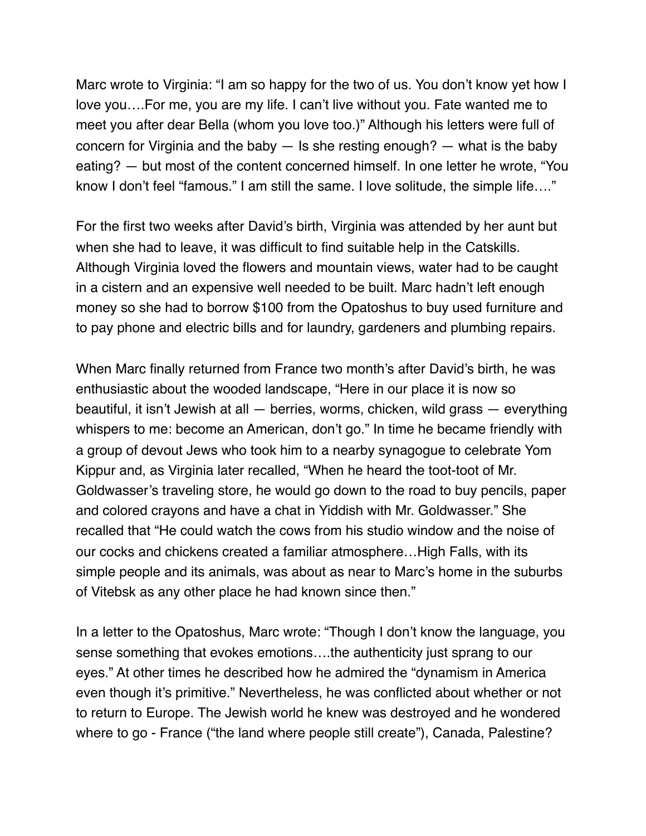Marc wrote to Virginia: "I am so happy for the two of us. You don't know yet how I love you….For me, you are my life. I can't live without you. Fate wanted me to meet you after dear Bella (whom you love too.)" Although his letters were full of concern for Virginia and the baby — Is she resting enough? — what is the baby eating? — but most of the content concerned himself. In one letter he wrote, "You know I don't feel "famous." I am still the same. I love solitude, the simple life…."

For the first two weeks after David's birth, Virginia was attended by her aunt but when she had to leave, it was difficult to find suitable help in the Catskills. Although Virginia loved the flowers and mountain views, water had to be caught in a cistern and an expensive well needed to be built. Marc hadn't left enough money so she had to borrow \$100 from the Opatoshus to buy used furniture and to pay phone and electric bills and for laundry, gardeners and plumbing repairs.

When Marc finally returned from France two month's after David's birth, he was enthusiastic about the wooded landscape, "Here in our place it is now so beautiful, it isn't Jewish at all — berries, worms, chicken, wild grass — everything whispers to me: become an American, don't go." In time he became friendly with a group of devout Jews who took him to a nearby synagogue to celebrate Yom Kippur and, as Virginia later recalled, "When he heard the toot-toot of Mr. Goldwasser's traveling store, he would go down to the road to buy pencils, paper and colored crayons and have a chat in Yiddish with Mr. Goldwasser." She recalled that "He could watch the cows from his studio window and the noise of our cocks and chickens created a familiar atmosphere…High Falls, with its simple people and its animals, was about as near to Marc's home in the suburbs of Vitebsk as any other place he had known since then."

In a letter to the Opatoshus, Marc wrote: "Though I don't know the language, you sense something that evokes emotions….the authenticity just sprang to our eyes." At other times he described how he admired the "dynamism in America even though it's primitive." Nevertheless, he was conflicted about whether or not to return to Europe. The Jewish world he knew was destroyed and he wondered where to go - France ("the land where people still create"), Canada, Palestine?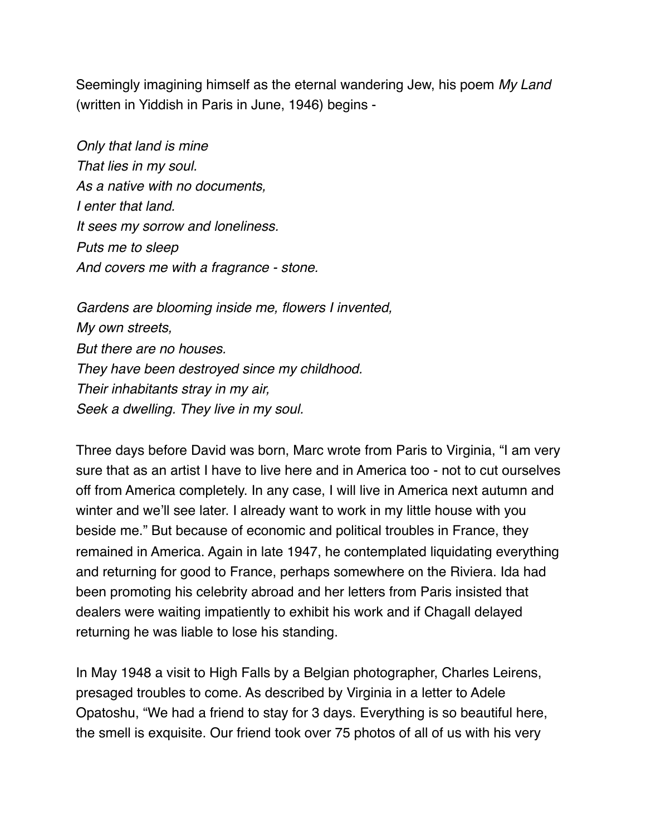Seemingly imagining himself as the eternal wandering Jew, his poem *My Land*  (written in Yiddish in Paris in June, 1946) begins -

*Only that land is mine That lies in my soul. As a native with no documents, I enter that land. It sees my sorrow and loneliness. Puts me to sleep And covers me with a fragrance - stone.*

*Gardens are blooming inside me, flowers I invented, My own streets, But there are no houses. They have been destroyed since my childhood. Their inhabitants stray in my air, Seek a dwelling. They live in my soul.*

Three days before David was born, Marc wrote from Paris to Virginia, "I am very sure that as an artist I have to live here and in America too - not to cut ourselves off from America completely. In any case, I will live in America next autumn and winter and we'll see later. I already want to work in my little house with you beside me." But because of economic and political troubles in France, they remained in America. Again in late 1947, he contemplated liquidating everything and returning for good to France, perhaps somewhere on the Riviera. Ida had been promoting his celebrity abroad and her letters from Paris insisted that dealers were waiting impatiently to exhibit his work and if Chagall delayed returning he was liable to lose his standing.

In May 1948 a visit to High Falls by a Belgian photographer, Charles Leirens, presaged troubles to come. As described by Virginia in a letter to Adele Opatoshu, "We had a friend to stay for 3 days. Everything is so beautiful here, the smell is exquisite. Our friend took over 75 photos of all of us with his very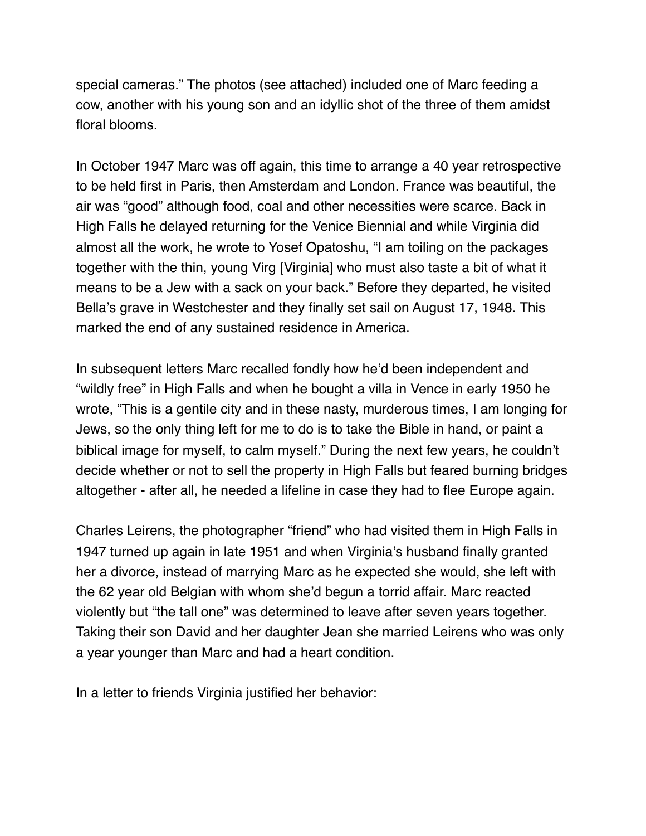special cameras." The photos (see attached) included one of Marc feeding a cow, another with his young son and an idyllic shot of the three of them amidst floral blooms.

In October 1947 Marc was off again, this time to arrange a 40 year retrospective to be held first in Paris, then Amsterdam and London. France was beautiful, the air was "good" although food, coal and other necessities were scarce. Back in High Falls he delayed returning for the Venice Biennial and while Virginia did almost all the work, he wrote to Yosef Opatoshu, "I am toiling on the packages together with the thin, young Virg [Virginia] who must also taste a bit of what it means to be a Jew with a sack on your back." Before they departed, he visited Bella's grave in Westchester and they finally set sail on August 17, 1948. This marked the end of any sustained residence in America.

In subsequent letters Marc recalled fondly how he'd been independent and "wildly free" in High Falls and when he bought a villa in Vence in early 1950 he wrote, "This is a gentile city and in these nasty, murderous times, I am longing for Jews, so the only thing left for me to do is to take the Bible in hand, or paint a biblical image for myself, to calm myself." During the next few years, he couldn't decide whether or not to sell the property in High Falls but feared burning bridges altogether - after all, he needed a lifeline in case they had to flee Europe again.

Charles Leirens, the photographer "friend" who had visited them in High Falls in 1947 turned up again in late 1951 and when Virginia's husband finally granted her a divorce, instead of marrying Marc as he expected she would, she left with the 62 year old Belgian with whom she'd begun a torrid affair. Marc reacted violently but "the tall one" was determined to leave after seven years together. Taking their son David and her daughter Jean she married Leirens who was only a year younger than Marc and had a heart condition.

In a letter to friends Virginia justified her behavior: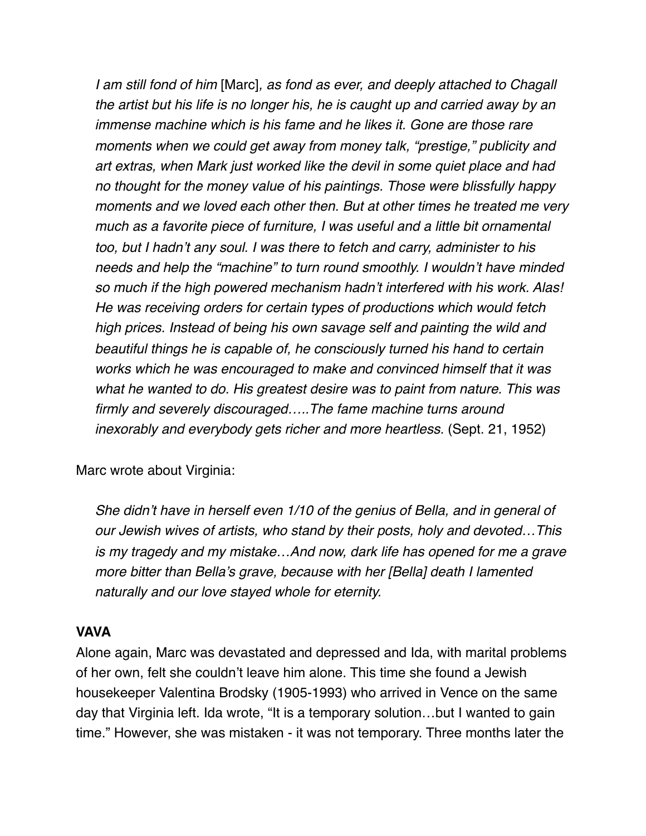*I am still fond of him* [Marc]*, as fond as ever, and deeply attached to Chagall the artist but his life is no longer his, he is caught up and carried away by an immense machine which is his fame and he likes it. Gone are those rare moments when we could get away from money talk, "prestige," publicity and art extras, when Mark just worked like the devil in some quiet place and had no thought for the money value of his paintings. Those were blissfully happy moments and we loved each other then. But at other times he treated me very much as a favorite piece of furniture, I was useful and a little bit ornamental too, but I hadn't any soul. I was there to fetch and carry, administer to his needs and help the "machine" to turn round smoothly. I wouldn't have minded so much if the high powered mechanism hadn't interfered with his work. Alas! He was receiving orders for certain types of productions which would fetch high prices. Instead of being his own savage self and painting the wild and beautiful things he is capable of, he consciously turned his hand to certain works which he was encouraged to make and convinced himself that it was what he wanted to do. His greatest desire was to paint from nature. This was firmly and severely discouraged…..The fame machine turns around inexorably and everybody gets richer and more heartless.* (Sept. 21, 1952)

Marc wrote about Virginia:

 *She didn't have in herself even 1/10 of the genius of Bella, and in general of our Jewish wives of artists, who stand by their posts, holy and devoted…This is my tragedy and my mistake…And now, dark life has opened for me a grave more bitter than Bella's grave, because with her [Bella] death I lamented naturally and our love stayed whole for eternity.*

## **VAVA**

Alone again, Marc was devastated and depressed and Ida, with marital problems of her own, felt she couldn't leave him alone. This time she found a Jewish housekeeper Valentina Brodsky (1905-1993) who arrived in Vence on the same day that Virginia left. Ida wrote, "It is a temporary solution…but I wanted to gain time." However, she was mistaken - it was not temporary. Three months later the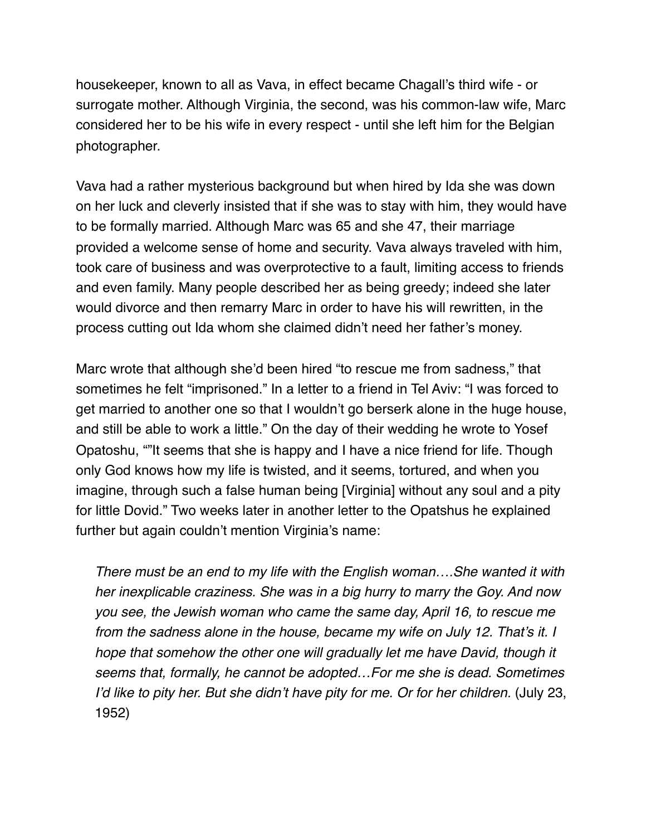housekeeper, known to all as Vava, in effect became Chagall's third wife - or surrogate mother. Although Virginia, the second, was his common-law wife, Marc considered her to be his wife in every respect - until she left him for the Belgian photographer.

Vava had a rather mysterious background but when hired by Ida she was down on her luck and cleverly insisted that if she was to stay with him, they would have to be formally married. Although Marc was 65 and she 47, their marriage provided a welcome sense of home and security. Vava always traveled with him, took care of business and was overprotective to a fault, limiting access to friends and even family. Many people described her as being greedy; indeed she later would divorce and then remarry Marc in order to have his will rewritten, in the process cutting out Ida whom she claimed didn't need her father's money.

Marc wrote that although she'd been hired "to rescue me from sadness," that sometimes he felt "imprisoned." In a letter to a friend in Tel Aviv: "I was forced to get married to another one so that I wouldn't go berserk alone in the huge house, and still be able to work a little." On the day of their wedding he wrote to Yosef Opatoshu, ""It seems that she is happy and I have a nice friend for life. Though only God knows how my life is twisted, and it seems, tortured, and when you imagine, through such a false human being [Virginia] without any soul and a pity for little Dovid." Two weeks later in another letter to the Opatshus he explained further but again couldn't mention Virginia's name:

 *There must be an end to my life with the English woman….She wanted it with her inexplicable craziness. She was in a big hurry to marry the Goy. And now you see, the Jewish woman who came the same day, April 16, to rescue me from the sadness alone in the house, became my wife on July 12. That's it. I hope that somehow the other one will gradually let me have David, though it seems that, formally, he cannot be adopted…For me she is dead. Sometimes I'd like to pity her. But she didn't have pity for me. Or for her children.* (July 23, 1952)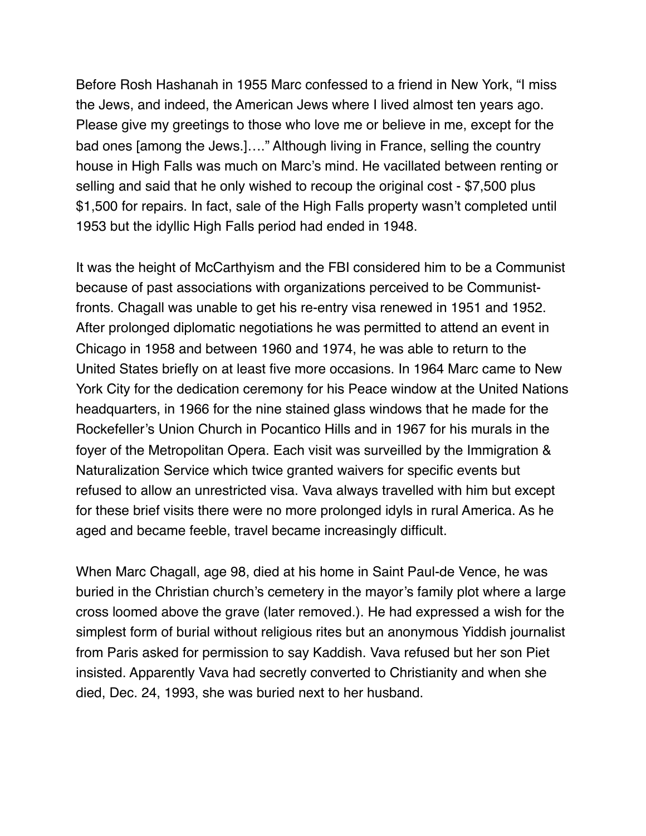Before Rosh Hashanah in 1955 Marc confessed to a friend in New York, "I miss the Jews, and indeed, the American Jews where I lived almost ten years ago. Please give my greetings to those who love me or believe in me, except for the bad ones [among the Jews.]…." Although living in France, selling the country house in High Falls was much on Marc's mind. He vacillated between renting or selling and said that he only wished to recoup the original cost - \$7,500 plus \$1,500 for repairs. In fact, sale of the High Falls property wasn't completed until 1953 but the idyllic High Falls period had ended in 1948.

It was the height of McCarthyism and the FBI considered him to be a Communist because of past associations with organizations perceived to be Communistfronts. Chagall was unable to get his re-entry visa renewed in 1951 and 1952. After prolonged diplomatic negotiations he was permitted to attend an event in Chicago in 1958 and between 1960 and 1974, he was able to return to the United States briefly on at least five more occasions. In 1964 Marc came to New York City for the dedication ceremony for his Peace window at the United Nations headquarters, in 1966 for the nine stained glass windows that he made for the Rockefeller's Union Church in Pocantico Hills and in 1967 for his murals in the foyer of the Metropolitan Opera. Each visit was surveilled by the Immigration & Naturalization Service which twice granted waivers for specific events but refused to allow an unrestricted visa. Vava always travelled with him but except for these brief visits there were no more prolonged idyls in rural America. As he aged and became feeble, travel became increasingly difficult.

When Marc Chagall, age 98, died at his home in Saint Paul-de Vence, he was buried in the Christian church's cemetery in the mayor's family plot where a large cross loomed above the grave (later removed.). He had expressed a wish for the simplest form of burial without religious rites but an anonymous Yiddish journalist from Paris asked for permission to say Kaddish. Vava refused but her son Piet insisted. Apparently Vava had secretly converted to Christianity and when she died, Dec. 24, 1993, she was buried next to her husband.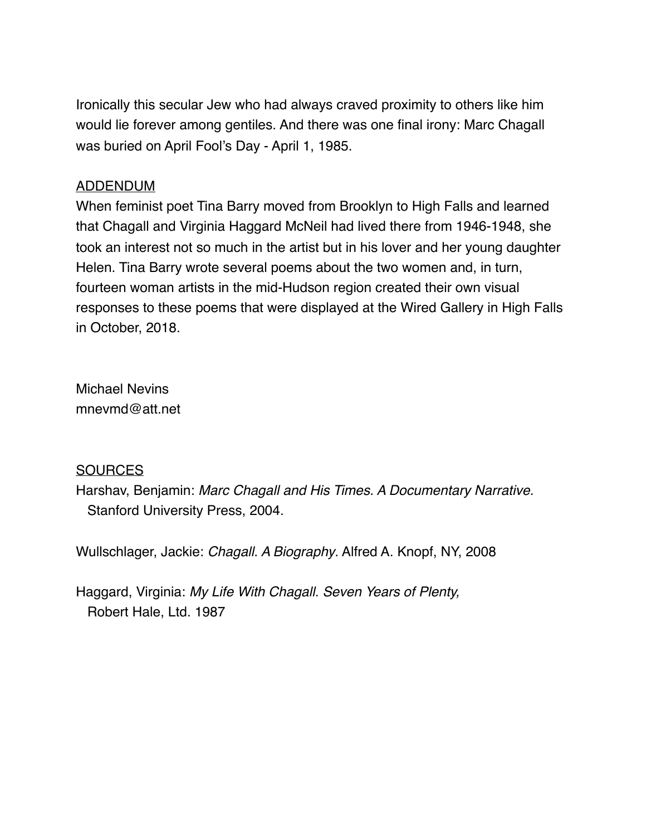Ironically this secular Jew who had always craved proximity to others like him would lie forever among gentiles. And there was one final irony: Marc Chagall was buried on April Fool's Day - April 1, 1985.

### ADDENDUM

When feminist poet Tina Barry moved from Brooklyn to High Falls and learned that Chagall and Virginia Haggard McNeil had lived there from 1946-1948, she took an interest not so much in the artist but in his lover and her young daughter Helen. Tina Barry wrote several poems about the two women and, in turn, fourteen woman artists in the mid-Hudson region created their own visual responses to these poems that were displayed at the Wired Gallery in High Falls in October, 2018.

Michael Nevins mnevmd@att.net

#### **SOURCES**

Harshav, Benjamin: *Marc Chagall and His Times. A Documentary Narrative.* Stanford University Press, 2004.

Wullschlager, Jackie: *Chagall. A Biography*. Alfred A. Knopf, NY, 2008

Haggard, Virginia: *My Life With Chagall. Seven Years of Plenty,* Robert Hale, Ltd. 1987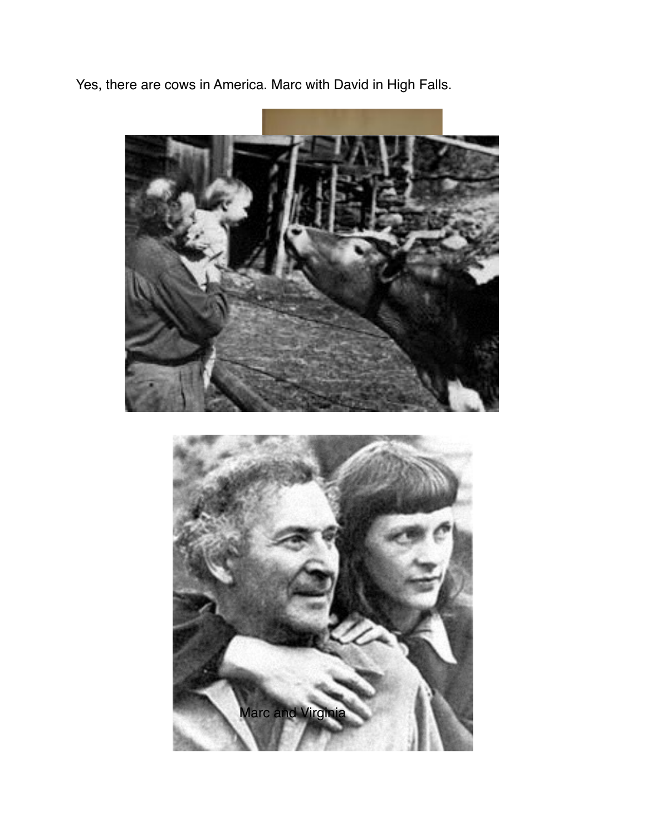Yes, there are cows in America. Marc with David in High Falls.

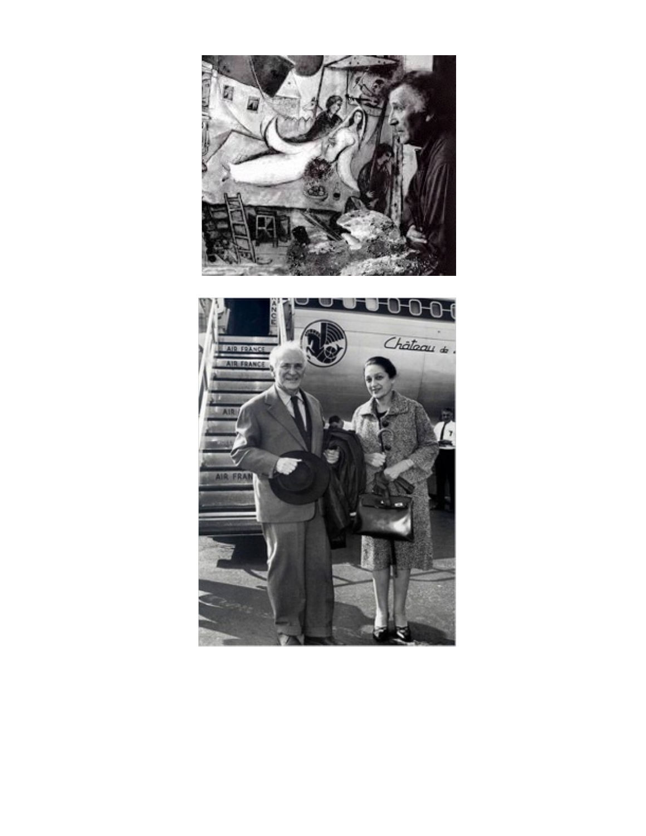